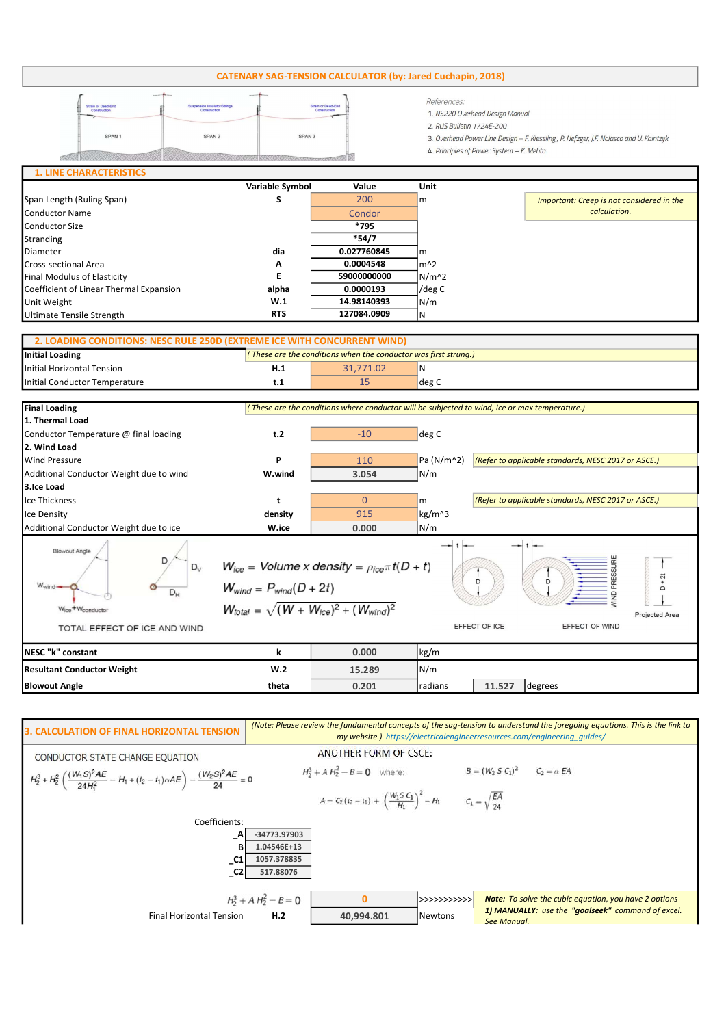## CATENARY SAG-TENSION CALCULATOR (by: Jared Cuchapin, 2018)

| <b>Strain or Dead-End</b><br>Construction | Suspension Insulator/Strings<br>Construction |                   | References:<br>1. NS220 Overhead Design Manual<br>2. RUS Bulletin 1724E-200            |
|-------------------------------------------|----------------------------------------------|-------------------|----------------------------------------------------------------------------------------|
| SPAN <sub>1</sub>                         | SPAN <sub>2</sub>                            | SPAN <sub>3</sub> | 3. Overhead Power Line Design - F. Kiessling, P. Nefzger, J.F. Nolasco and U. Kaintzyk |
|                                           |                                              |                   | 4. Principles of Power System - K. Mehta                                               |
| <b>1. LINE CHARACTERISTICS</b>            |                                              |                   |                                                                                        |

|                                         | Variable Symbol | Value       | Unit          |                                           |
|-----------------------------------------|-----------------|-------------|---------------|-------------------------------------------|
| Span Length (Ruling Span)               |                 | 200         | $\mathsf{Im}$ | Important: Creep is not considered in the |
| Conductor Name                          |                 | Condor      |               | calculation.                              |
| Conductor Size                          |                 | *795        |               |                                           |
| Stranding                               |                 | *54/7       |               |                                           |
| Diameter                                | dia             | 0.027760845 | Im            |                                           |
| <b>Cross-sectional Area</b>             | A               | 0.0004548   | lm^2          |                                           |
| Final Modulus of Elasticity             |                 | 59000000000 | $N/m^2$       |                                           |
| Coefficient of Linear Thermal Expansion | alpha           | 0.0000193   | /deg C        |                                           |
| Unit Weight                             | W.1             | 14.98140393 | N/m           |                                           |
| Ultimate Tensile Strength               | <b>RTS</b>      | 127084.0909 | ΙN            |                                           |

## Initial Loading Initial Horizontal Tension **H.1 H.1** 31,771.02 N Initial Conductor Temperature the conductor Temperature the conductor of the conductor  $t$ .1 and the conductor  $\log C$ 2. LOADING CONDITIONS: NESC RULE 250D (EXTREME ICE WITH CONCURRENT WIND)  $\sqrt{\frac{1}{\pi}}$  These are the conditions when the conductor was first strung.)

| <b>Final Loading</b>                                                                                                   | (These are the conditions where conductor will be subjected to wind, ice or max temperature.)                                                                                                                                  |          |              |                                                     |         |  |  |  |
|------------------------------------------------------------------------------------------------------------------------|--------------------------------------------------------------------------------------------------------------------------------------------------------------------------------------------------------------------------------|----------|--------------|-----------------------------------------------------|---------|--|--|--|
| 1. Thermal Load                                                                                                        |                                                                                                                                                                                                                                |          |              |                                                     |         |  |  |  |
| Conductor Temperature @ final loading                                                                                  | t.2                                                                                                                                                                                                                            | $-10$    | deg C        |                                                     |         |  |  |  |
| 2. Wind Load                                                                                                           |                                                                                                                                                                                                                                |          |              |                                                     |         |  |  |  |
| <b>Wind Pressure</b>                                                                                                   | P                                                                                                                                                                                                                              | 110      | Pa $(N/m^2)$ | (Refer to applicable standards, NESC 2017 or ASCE.) |         |  |  |  |
| Additional Conductor Weight due to wind                                                                                | W.wind                                                                                                                                                                                                                         | 3.054    | N/m          |                                                     |         |  |  |  |
| 3.Ice Load                                                                                                             |                                                                                                                                                                                                                                |          |              |                                                     |         |  |  |  |
| Ice Thickness                                                                                                          | t                                                                                                                                                                                                                              | $\Omega$ | l m          | (Refer to applicable standards, NESC 2017 or ASCE.) |         |  |  |  |
| Ice Density                                                                                                            | density                                                                                                                                                                                                                        | 915      | kg/m^3       |                                                     |         |  |  |  |
| Additional Conductor Weight due to ice                                                                                 | W.ice                                                                                                                                                                                                                          | 0.000    | N/m          |                                                     |         |  |  |  |
| <b>Blowout Angle</b><br>$D_v$<br>$W_{wind}$<br>$D_{H}$<br>Wice <sup>+W</sup> conductor<br>TOTAL EFFECT OF ICE AND WIND | $W_{ice}$ = Volume x density = $\rho_{ice} \pi t (D + t)$<br>$+2t$<br>D<br>$W_{wind} = P_{wind}(D + 2t)$<br>$\Box$<br>$W_{total} = \sqrt{(W + W_{ice})^2 + (W_{wind})^2}$<br>Projected Area<br>EFFECT OF ICE<br>EFFECT OF WIND |          |              |                                                     |         |  |  |  |
| NESC "k" constant                                                                                                      | k                                                                                                                                                                                                                              | 0.000    | kg/m         |                                                     |         |  |  |  |
| <b>Resultant Conductor Weight</b>                                                                                      | W.2                                                                                                                                                                                                                            | 15.289   | N/m          |                                                     |         |  |  |  |
| <b>Blowout Angle</b>                                                                                                   | theta                                                                                                                                                                                                                          | 0.201    | radians      | 11.527                                              | degrees |  |  |  |